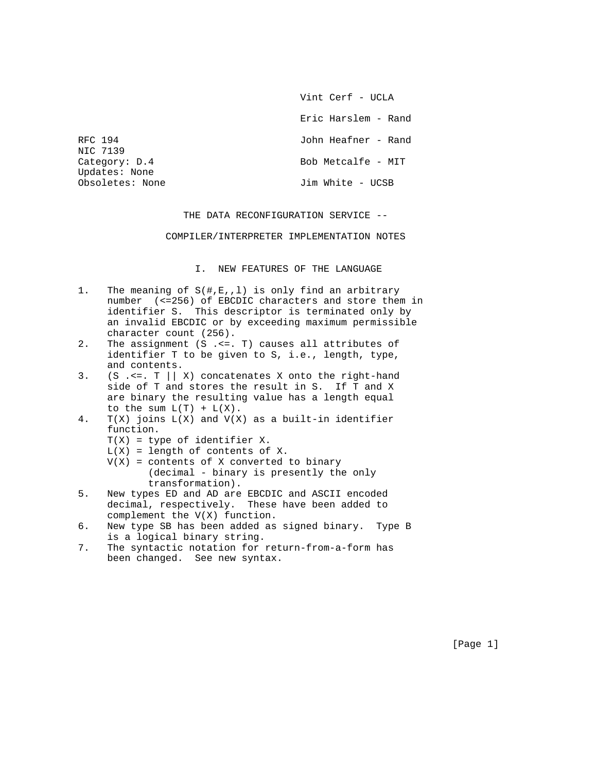Vint Cerf - UCLA

Eric Harslem - Rand

RFC 194 **John Heafner - Rand** 

Category: D.4 Bob Metcalfe - MIT

Obsoletes: None 30 Jim White - UCSB

THE DATA RECONFIGURATION SERVICE --

COMPILER/INTERPRETER IMPLEMENTATION NOTES

I. NEW FEATURES OF THE LANGUAGE

- 1. The meaning of S(#,E,,l) is only find an arbitrary number (<=256) of EBCDIC characters and store them in identifier S. This descriptor is terminated only by an invalid EBCDIC or by exceeding maximum permissible character count (256).
- 2. The assignment (S .<=. T) causes all attributes of identifier T to be given to S, i.e., length, type, and contents.
- 3. (S .<=.  $T \mid |X|$  concatenates X onto the right-hand side of T and stores the result in S. If T and X are binary the resulting value has a length equal to the sum  $L(T) + L(X)$ .
- 4.  $T(X)$  joins  $L(X)$  and  $V(X)$  as a built-in identifier function.
	- T(X) = type of identifier X.

NIC 7139

Updates: None

- $L(X)$  = length of contents of X.
- $V(X)$  = contents of X converted to binary (decimal - binary is presently the only transformation).
- 5. New types ED and AD are EBCDIC and ASCII encoded decimal, respectively. These have been added to complement the V(X) function.
- 6. New type SB has been added as signed binary. Type B is a logical binary string.
- 7. The syntactic notation for return-from-a-form has been changed. See new syntax.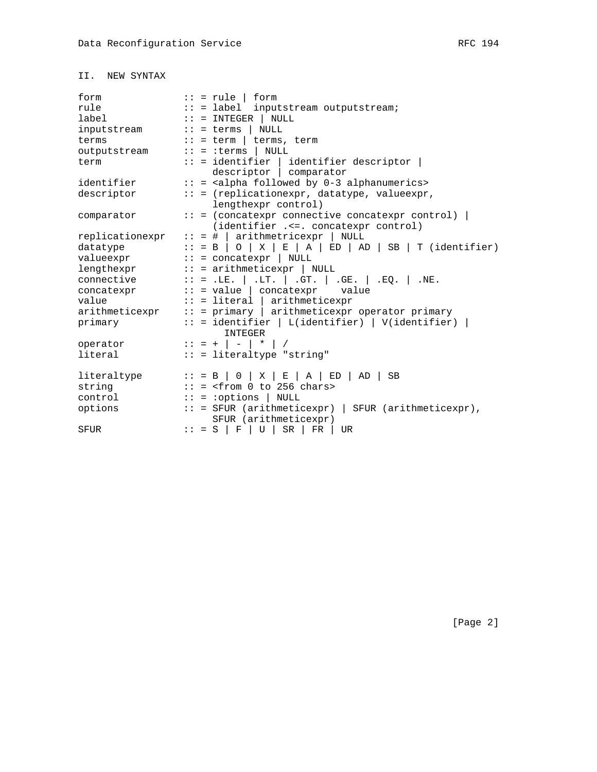| form            |  | $:: = rule \mid form$                                                            |  |  |  |  |
|-----------------|--|----------------------------------------------------------------------------------|--|--|--|--|
| rule            |  | :: = label inputstream outputstream;                                             |  |  |  |  |
| label           |  | $\cdots$ = INTEGER   NULL                                                        |  |  |  |  |
| inputstream     |  | $\cdots$ = terms  <br>NULL                                                       |  |  |  |  |
| terms           |  | $:: = term   terms, term$                                                        |  |  |  |  |
| outputstream    |  | $:: = :terms \mid NULL$                                                          |  |  |  |  |
| term            |  | $::$ = identifier   identifier descriptor                                        |  |  |  |  |
|                 |  | descriptor   comparator                                                          |  |  |  |  |
| identifier      |  | :: = <alpha 0-3="" alphanumerics="" by="" followed=""></alpha>                   |  |  |  |  |
| descriptor      |  | :: = (replicationexpr, datatype, valueexpr,                                      |  |  |  |  |
|                 |  | lengthexpr control)                                                              |  |  |  |  |
| comparator      |  | $:: = (concatexpr \ connective \ context)$                                       |  |  |  |  |
|                 |  | (identifier . <=. concatexpr control)                                            |  |  |  |  |
| replicationexpr |  | $:: = #   arithmeticexpr   NULL$                                                 |  |  |  |  |
| datatype        |  | $:: = B \cup O \mid X \mid E \mid A \mid ED \mid AD \mid SB \mid T$ (identifier) |  |  |  |  |
| valueexpr       |  | $\cdots$ = concatexpr   NULL                                                     |  |  |  |  |
| lengthexpr      |  | $:: =$ arithmeticexpr   NULL                                                     |  |  |  |  |
| connective      |  | :: = .LE.   .LT.   .GT.   .GE.   .EQ.   .NE.                                     |  |  |  |  |
| concatexpr      |  | $:: = value   contextpr value$                                                   |  |  |  |  |
| value           |  | $::$ = literal   arithmeticexpr                                                  |  |  |  |  |
|                 |  | $arithmeticexpr$ :: = $primary$   $arithmeticexpr$ operator $primary$            |  |  |  |  |
| primary         |  | $::$ = identifier   L(identifier)   V(identifier)                                |  |  |  |  |
|                 |  | <b>TNTEGER</b>                                                                   |  |  |  |  |
| operator        |  | $\because$ = +   -   *                                                           |  |  |  |  |
| literal         |  | :: = literaltype "string"                                                        |  |  |  |  |
|                 |  |                                                                                  |  |  |  |  |
| literaltype     |  | $\cdot$ : = B   0   X   E   A   ED  <br>AD  <br>SB                               |  |  |  |  |
| string          |  | $:: = \text{from } 0 \text{ to } 256 \text{ chars}$                              |  |  |  |  |
| control         |  | $:: = :$ options   NULL                                                          |  |  |  |  |
| options         |  | $:: =$ SFUR (arithmeticexpr)   SFUR (arithmeticexpr),                            |  |  |  |  |
|                 |  | SFUR (arithmeticexpr)                                                            |  |  |  |  |
| SFUR            |  | $:: = S   F   U   SR  $<br>$FR$  <br>UR                                          |  |  |  |  |

[Page 2]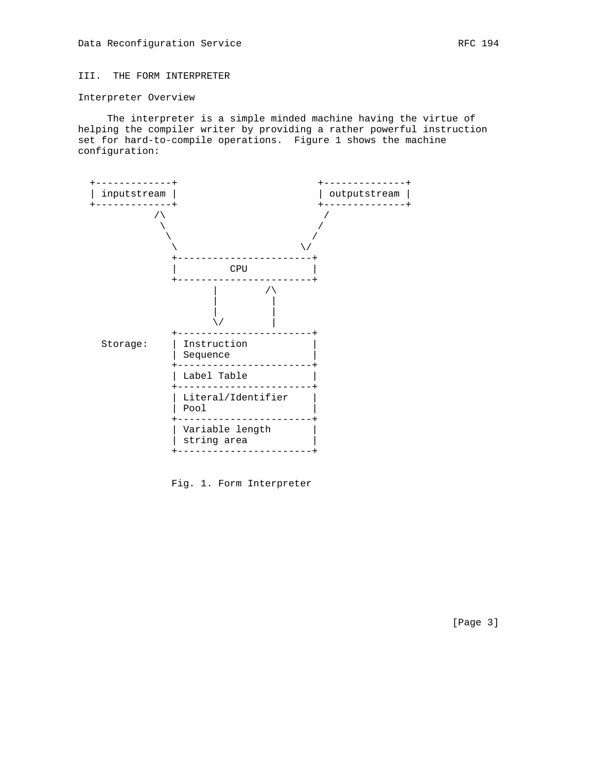# III. THE FORM INTERPRETER

### Interpreter Overview

 The interpreter is a simple minded machine having the virtue of helping the compiler writer by providing a rather powerful instruction set for hard-to-compile operations. Figure 1 shows the machine configuration:



Fig. 1. Form Interpreter

[Page 3]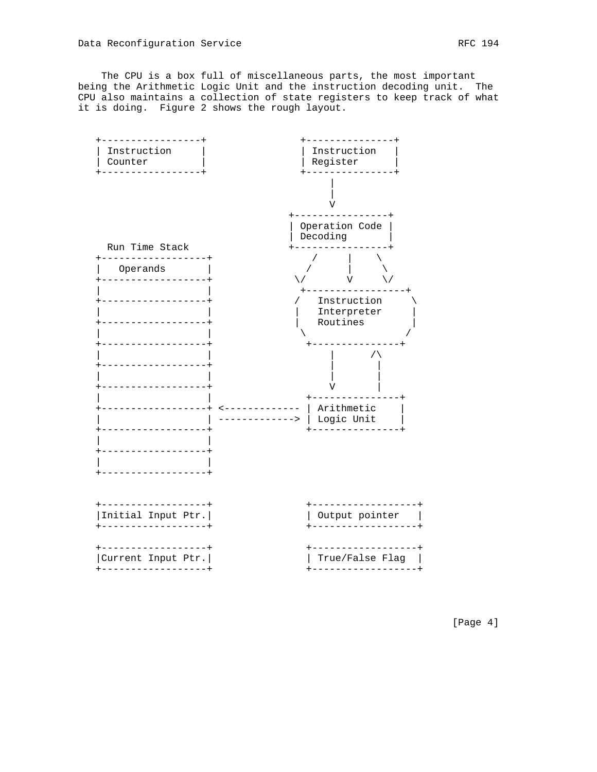The CPU is a box full of miscellaneous parts, the most important being the Arithmetic Logic Unit and the instruction decoding unit. The CPU also maintains a collection of state registers to keep track of what it is doing. Figure 2 shows the rough layout.



[Page 4]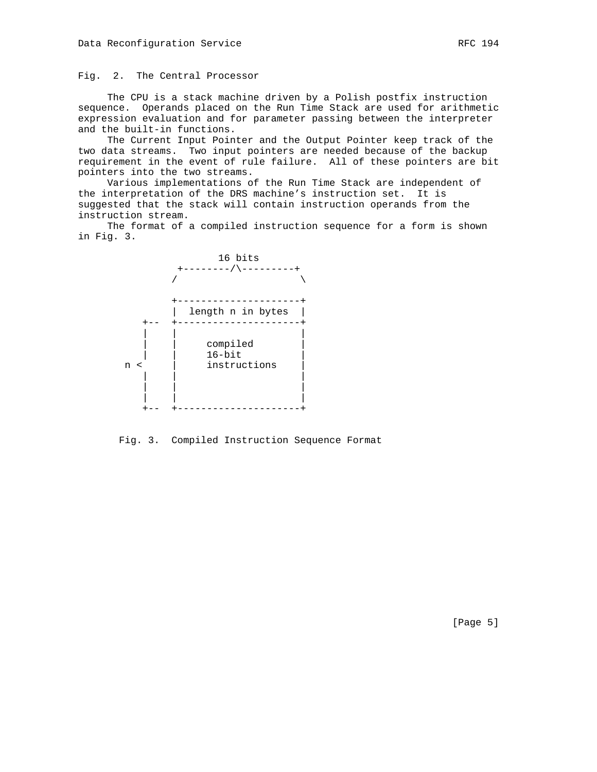The CPU is a stack machine driven by a Polish postfix instruction sequence. Operands placed on the Run Time Stack are used for arithmetic expression evaluation and for parameter passing between the interpreter and the built-in functions.

 The Current Input Pointer and the Output Pointer keep track of the two data streams. Two input pointers are needed because of the backup requirement in the event of rule failure. All of these pointers are bit pointers into the two streams.

 Various implementations of the Run Time Stack are independent of the interpretation of the DRS machine's instruction set. It is suggested that the stack will contain instruction operands from the instruction stream.

 The format of a compiled instruction sequence for a form is shown in Fig. 3.



Fig. 3. Compiled Instruction Sequence Format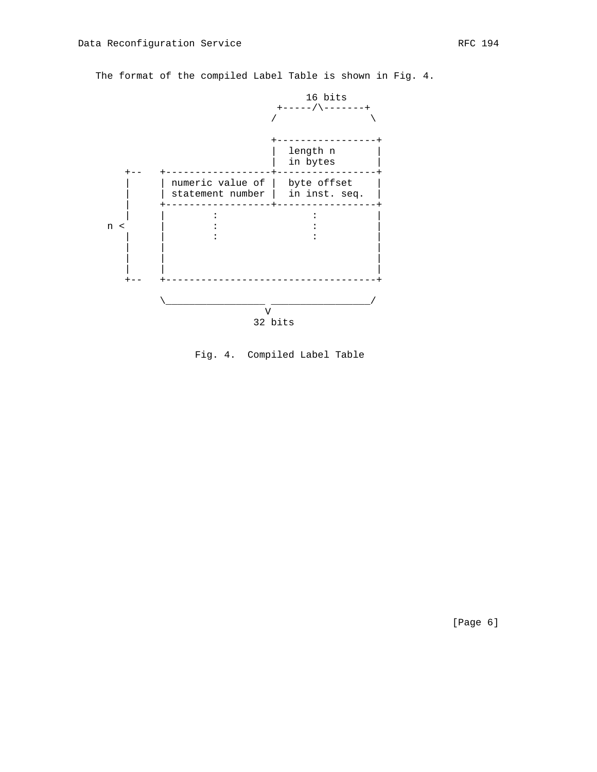



Fig. 4. Compiled Label Table

[Page 6]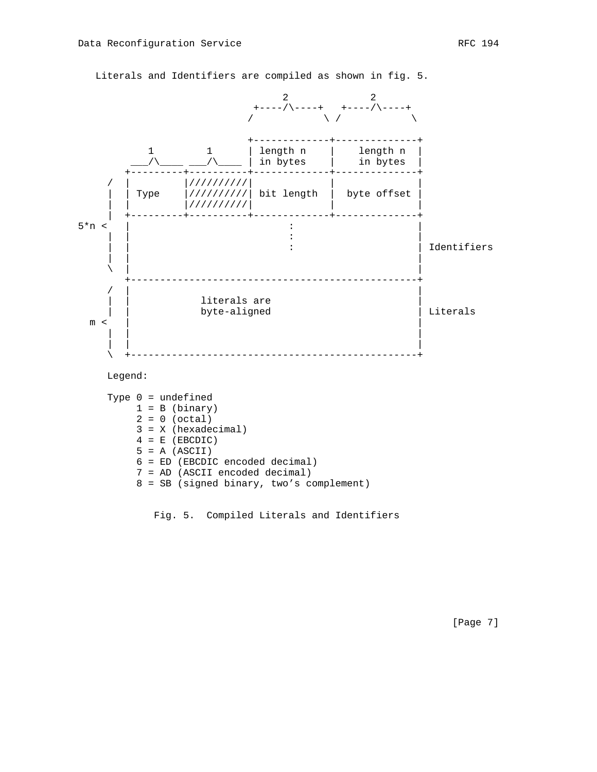

Literals and Identifiers are compiled as shown in fig. 5.

Fig. 5. Compiled Literals and Identifiers

[Page 7]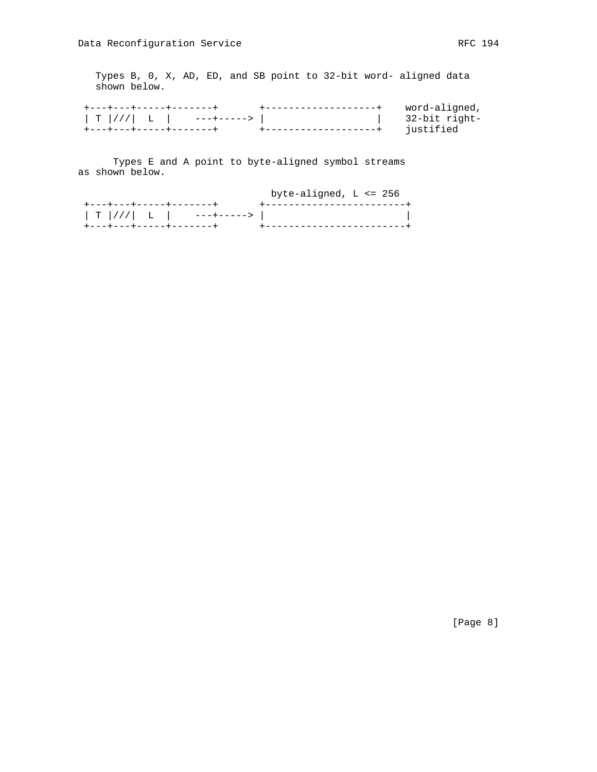Types B, 0, X, AD, ED, and SB point to 32-bit word- aligned data shown below.

| word-aligned, |
|---------------|
| 32-bit right- |
| iustified     |

 Types E and A point to byte-aligned symbol streams as shown below.

|                                   | byte-aligned, $L \le 256$  |  |
|-----------------------------------|----------------------------|--|
| +---+---+----+------+             | +------------------------- |  |
| T   / / /   L         ---+------> |                            |  |
| +---+---+-----+-------+           |                            |  |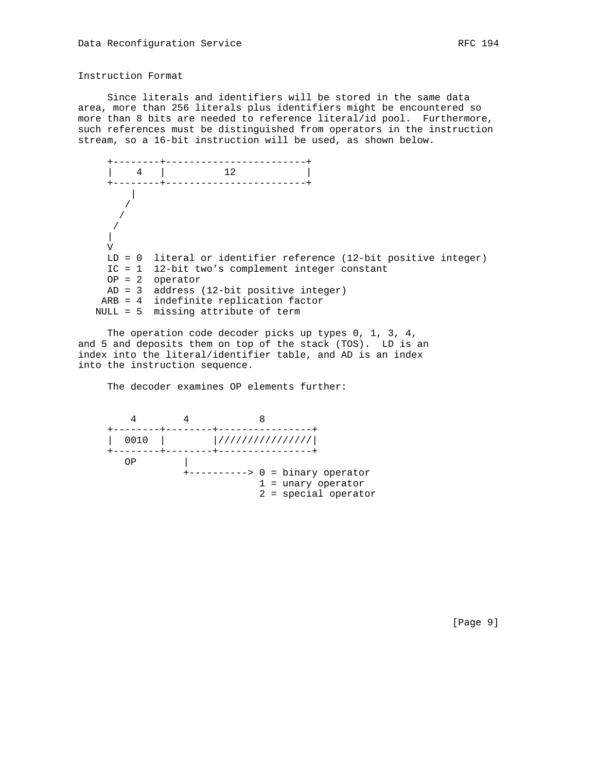## Instruction Format

 Since literals and identifiers will be stored in the same data area, more than 256 literals plus identifiers might be encountered so more than 8 bits are needed to reference literal/id pool. Furthermore, such references must be distinguished from operators in the instruction stream, so a 16-bit instruction will be used, as shown below.

 +--------+------------------------+ | 4 | 12 | +--------+------------------------+ || || || || / / / | V LD = 0 literal or identifier reference (12-bit positive integer) IC = 1 12-bit two's complement integer constant OP = 2 operator AD = 3 address (12-bit positive integer) ARB = 4 indefinite replication factor NULL = 5 missing attribute of term

 The operation code decoder picks up types 0, 1, 3, 4, and 5 and deposits them on top of the stack (TOS). LD is an index into the literal/identifier table, and AD is an index into the instruction sequence.

The decoder examines OP elements further:

 4 4 8 +--------+--------+----------------+ | 0010 | |////////////////| +--------+--------+----------------+  $OP$  | +----------> 0 = binary operator 1 = unary operator 2 = special operator

[Page 9]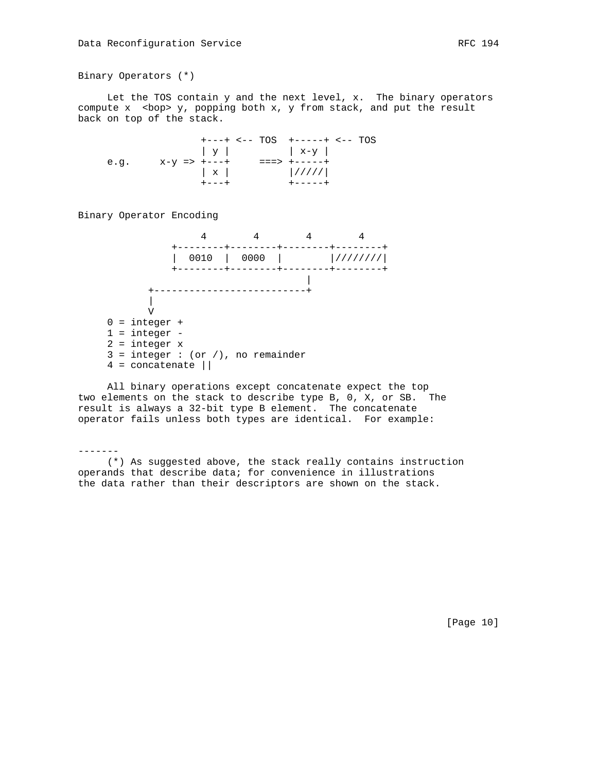Binary Operators (\*)

 Let the TOS contain y and the next level, x. The binary operators compute  $x$  <br/>  $\langle x, y \rangle$  sopping both  $x$ ,  $y$  from stack, and put the result back on top of the stack.

 +---+ <-- TOS +-----+ <-- TOS | y | | x-y | e.g. x-y => +---+ ===> +-----+  $\begin{array}{|c|c|c|c|c|}\hline \textbf{x} & & {\textcolor{red}{\textbf{1}}/1111}\\ \hline \end{array}$ +---+ +-----+

Binary Operator Encoding



 All binary operations except concatenate expect the top two elements on the stack to describe type B, 0, X, or SB. The result is always a 32-bit type B element. The concatenate operator fails unless both types are identical. For example:

-------

 (\*) As suggested above, the stack really contains instruction operands that describe data; for convenience in illustrations the data rather than their descriptors are shown on the stack.

[Page 10]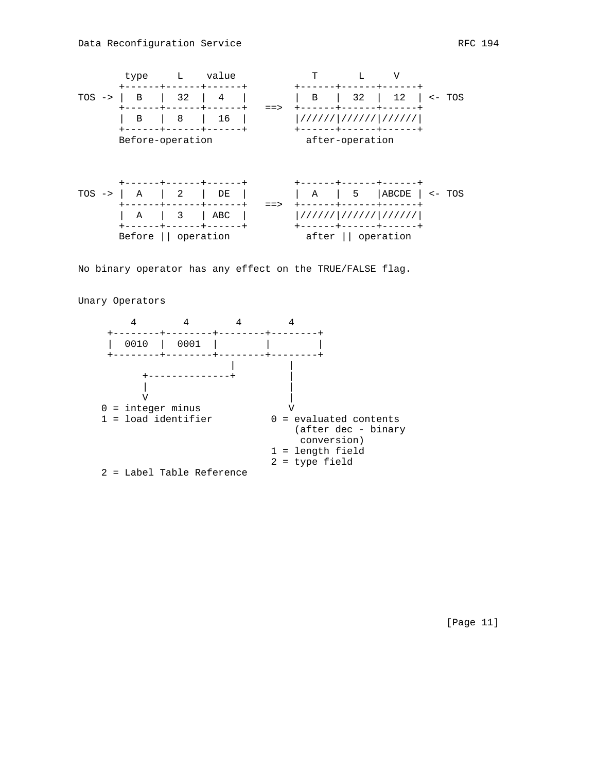

No binary operator has any effect on the TRUE/FALSE flag.

Unary Operators



[Page 11]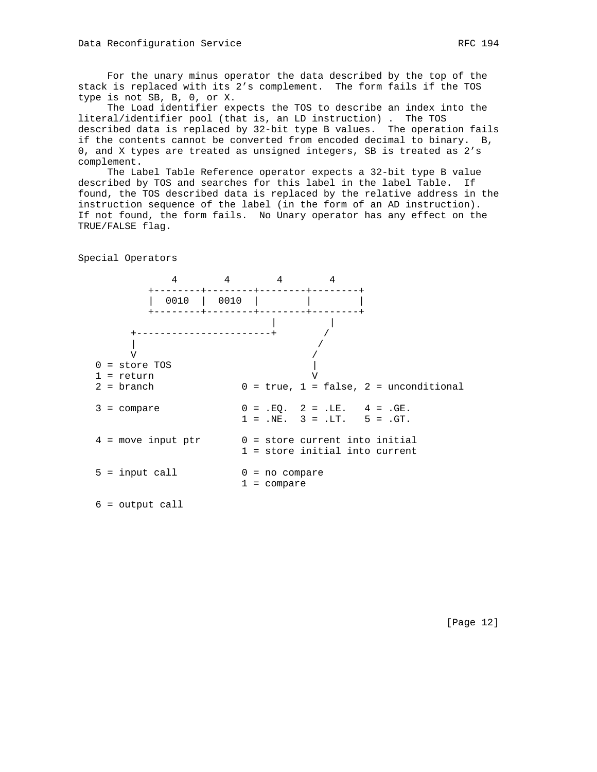For the unary minus operator the data described by the top of the stack is replaced with its 2's complement. The form fails if the TOS type is not SB, B, 0, or X.

 The Load identifier expects the TOS to describe an index into the literal/identifier pool (that is, an LD instruction) . The TOS described data is replaced by 32-bit type B values. The operation fails if the contents cannot be converted from encoded decimal to binary. B, 0, and X types are treated as unsigned integers, SB is treated as 2's complement.

 The Label Table Reference operator expects a 32-bit type B value described by TOS and searches for this label in the label Table. If found, the TOS described data is replaced by the relative address in the instruction sequence of the label (in the form of an AD instruction). If not found, the form fails. No Unary operator has any effect on the TRUE/FALSE flag.

4 4 4 4 +--------+--------+--------+--------+ | 0010 | 0010 | | | +--------+--------+--------+--------+ | | +-----------------------+ / | /  $\sqrt{2}$  $0 = store TOS$  | 1 = return V  $2 = branch$  0 = true, 1 = false, 2 = unconditional  $3 = \text{compare}$  0 = .EQ. 2 = .LE. 4 = .GE.  $1 = .NE.$   $3 = .LT.$   $5 = .GT.$  $4 = move input ptr$   $0 = store current into initial$  1 = store initial into current  $5 = input call 0 = no compare$  1 = compare 6 = output call

Special Operators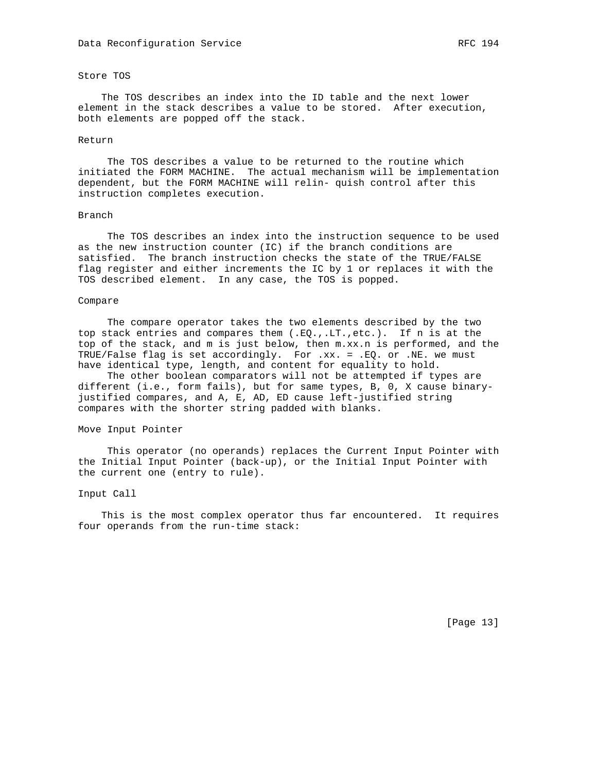## Store TOS

 The TOS describes an index into the ID table and the next lower element in the stack describes a value to be stored. After execution, both elements are popped off the stack.

#### Return

 The TOS describes a value to be returned to the routine which initiated the FORM MACHINE. The actual mechanism will be implementation dependent, but the FORM MACHINE will relin- quish control after this instruction completes execution.

#### Branch

 The TOS describes an index into the instruction sequence to be used as the new instruction counter (IC) if the branch conditions are satisfied. The branch instruction checks the state of the TRUE/FALSE flag register and either increments the IC by 1 or replaces it with the TOS described element. In any case, the TOS is popped.

#### Compare

 The compare operator takes the two elements described by the two top stack entries and compares them (.EQ.,.LT.,etc.). If n is at the top of the stack, and m is just below, then m.xx.n is performed, and the TRUE/False flag is set accordingly. For .xx. = .EQ. or .NE. we must have identical type, length, and content for equality to hold.

 The other boolean comparators will not be attempted if types are different (i.e., form fails), but for same types, B, 0, X cause binaryjustified compares, and A, E, AD, ED cause left-justified string compares with the shorter string padded with blanks.

## Move Input Pointer

 This operator (no operands) replaces the Current Input Pointer with the Initial Input Pointer (back-up), or the Initial Input Pointer with the current one (entry to rule).

#### Input Call

 This is the most complex operator thus far encountered. It requires four operands from the run-time stack: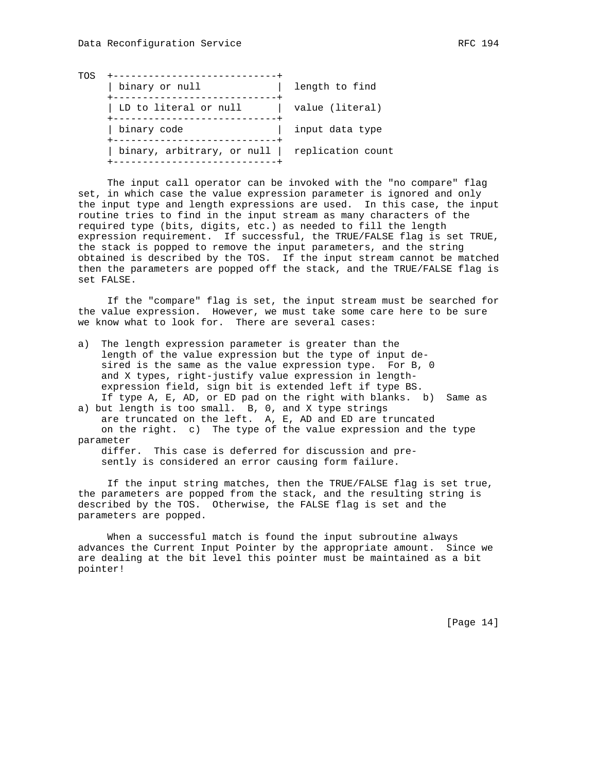| TOS | binary or null             | length to find    |
|-----|----------------------------|-------------------|
|     | LD to literal or null      | value (literal)   |
|     | binary code                | input data type   |
|     | binary, arbitrary, or null | replication count |

 The input call operator can be invoked with the "no compare" flag set, in which case the value expression parameter is ignored and only the input type and length expressions are used. In this case, the input routine tries to find in the input stream as many characters of the required type (bits, digits, etc.) as needed to fill the length expression requirement. If successful, the TRUE/FALSE flag is set TRUE, the stack is popped to remove the input parameters, and the string obtained is described by the TOS. If the input stream cannot be matched then the parameters are popped off the stack, and the TRUE/FALSE flag is set FALSE.

 If the "compare" flag is set, the input stream must be searched for the value expression. However, we must take some care here to be sure we know what to look for. There are several cases:

a) The length expression parameter is greater than the length of the value expression but the type of input de sired is the same as the value expression type. For B, 0 and X types, right-justify value expression in length expression field, sign bit is extended left if type BS. If type A, E, AD, or ED pad on the right with blanks. b) Same as

a) but length is too small. B, 0, and X type strings are truncated on the left. A, E, AD and ED are truncated on the right. c) The type of the value expression and the type parameter

 differ. This case is deferred for discussion and pre sently is considered an error causing form failure.

 If the input string matches, then the TRUE/FALSE flag is set true, the parameters are popped from the stack, and the resulting string is described by the TOS. Otherwise, the FALSE flag is set and the parameters are popped.

 When a successful match is found the input subroutine always advances the Current Input Pointer by the appropriate amount. Since we are dealing at the bit level this pointer must be maintained as a bit pointer!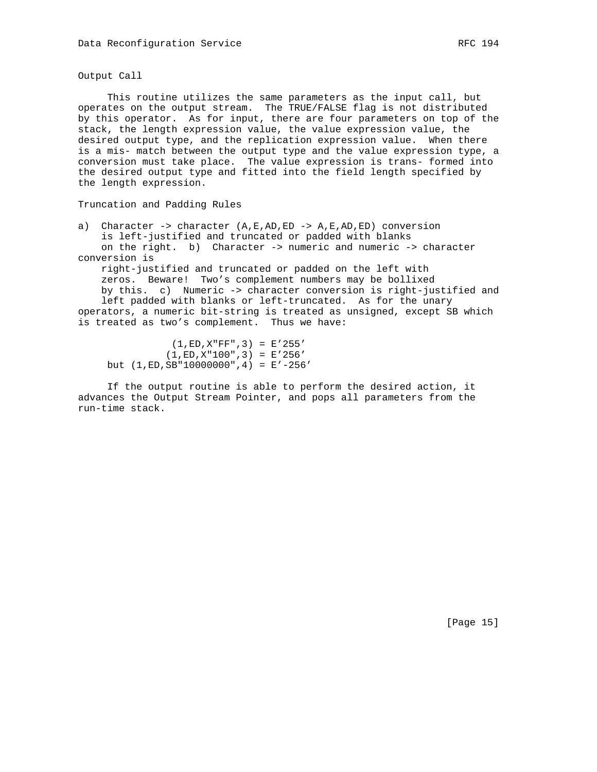Output Call

 This routine utilizes the same parameters as the input call, but operates on the output stream. The TRUE/FALSE flag is not distributed by this operator. As for input, there are four parameters on top of the stack, the length expression value, the value expression value, the desired output type, and the replication expression value. When there is a mis- match between the output type and the value expression type, a conversion must take place. The value expression is trans- formed into the desired output type and fitted into the field length specified by the length expression.

Truncation and Padding Rules

a) Character -> character  $(A, E, AD, ED -> A, E, AD, ED)$  conversion is left-justified and truncated or padded with blanks on the right. b) Character -> numeric and numeric -> character conversion is

 right-justified and truncated or padded on the left with zeros. Beware! Two's complement numbers may be bollixed by this. c) Numeric -> character conversion is right-justified and left padded with blanks or left-truncated. As for the unary operators, a numeric bit-string is treated as unsigned, except SB which is treated as two's complement. Thus we have:

 $(1, ED, X"FF", 3) = E'255'$  $(1, ED, X" 100", 3) = E' 256'$ but (1,ED,SB"10000000",4) = E'-256'

 If the output routine is able to perform the desired action, it advances the Output Stream Pointer, and pops all parameters from the run-time stack.

[Page 15]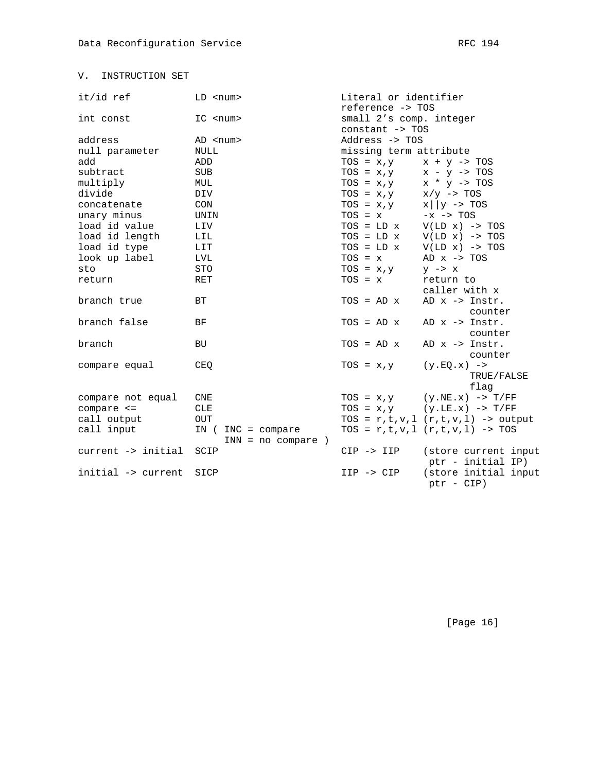# V. INSTRUCTION SET

| it/id ref          | $LD$ < $num$         | Literal or identifier   |                                                |
|--------------------|----------------------|-------------------------|------------------------------------------------|
|                    |                      | reference -> TOS        |                                                |
| int const          | $IC$ <num></num>     | small 2's comp. integer |                                                |
|                    |                      | constant -> TOS         |                                                |
| address            | AD <num></num>       | Address -> TOS          |                                                |
| null parameter     | NULL                 | missing term attribute  |                                                |
| add                | ADD                  | $TOS = x, y$            | $x + y \rightarrow \text{TOS}$                 |
| subtract           | <b>SUB</b>           | $TOS = x, y$            | $x - y \rightarrow \text{TOS}$                 |
| multiply           | MUL                  | $TOS = x, y$            | $x * y \rightarrow \text{TOS}$                 |
| divide             | DIV                  | $TOS = x, y$            | $x/y \rightarrow TOS$                          |
| concatenate        | CON                  | $TOS = x, y$            | $x \mid y \rightarrow \text{TOS}$              |
| unary minus        | UNIN                 | $TOS = x$               | $-x \rightarrow TOS$                           |
| load id value      | LIV                  | $TOS = LD \times$       | $V(LD x) \rightarrow TOS$                      |
| load id length     | LIL                  | $TOS = LD \times$       | $V(LD x) \rightarrow TOS$                      |
| load id type       | <b>LIT</b>           | $TOS = LD \times$       | $V(LD x) \rightarrow TOS$                      |
| look up label      | LVL                  | $TOS = x$               | AD $x \rightarrow \text{TOS}$                  |
| sto                | STO                  | $TOS = x, y$            | $y \rightarrow x$                              |
| return             | <b>RET</b>           | $TOS = x$               | return to                                      |
|                    |                      |                         | caller with x                                  |
| branch true        | BT.                  | $TOS = AD \times$       | AD $x \rightarrow$ Instr.                      |
|                    |                      |                         | counter                                        |
| branch false       | BF                   | $TOS = AD \times$       | AD $x \rightarrow$ Instr.                      |
|                    |                      |                         | counter                                        |
| branch             | <b>BU</b>            | $TOS = AD \times$       | AD $x \rightarrow$ Instr.                      |
|                    |                      |                         | counter                                        |
| compare equal      | CEQ                  | $TOS = x, y$            | $(y.EQ.x)$ ->                                  |
|                    |                      |                         | TRUE/FALSE                                     |
|                    |                      |                         | flag                                           |
| compare not equal  | CNE                  | $TOS = x, y$            | $(y.NE.x)$ -> $T/FF$                           |
| $compare < =$      | <b>CLE</b>           |                         | $TOS = x, y \qquad (y. LE.x) \rightarrow T/FF$ |
| call output        | OUT                  |                         | TOS = $r, t, v, l$ $(r, t, v, l)$ -> output    |
| call input         | IN $(INC = compare)$ |                         | TOS = $r, t, v, l$ $(r, t, v, l)$ -> TOS       |
|                    | $INN = no compare)$  |                         |                                                |
| current -> initial | SCIP                 | $CIP \rightarrow IIP$   | (store current input                           |
|                    |                      |                         | ptr - initial IP)                              |
| initial -> current | SICP                 | $IIP \rightarrow CIP$   | (store initial input                           |
|                    |                      |                         | ptr - CIP)                                     |

[Page 16]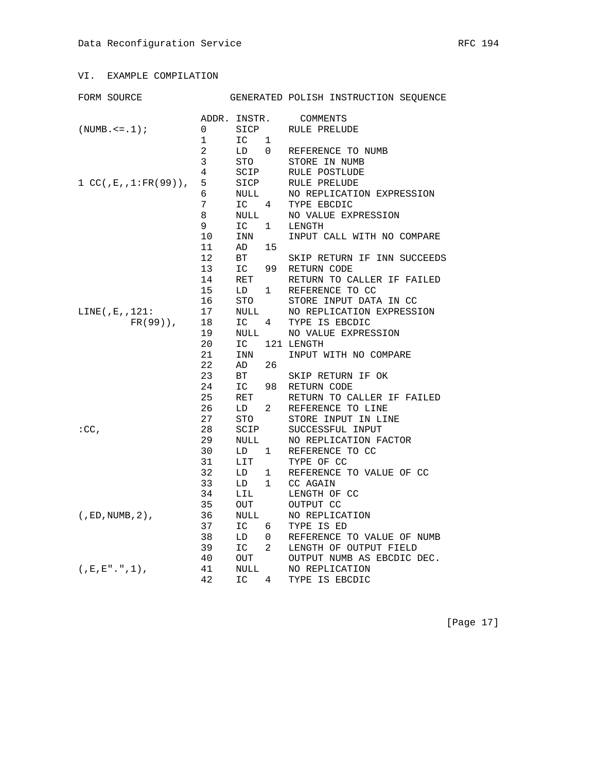FORM SOURCE GENERATED POLISH INSTRUCTION SEQUENCE

|                          | ADDR. INSTR. |           |                 | COMMENTS                    |
|--------------------------|--------------|-----------|-----------------|-----------------------------|
| $(NUMB. \le -1);$        | 0            | SICP      |                 | RULE PRELUDE                |
|                          | 1            | IC        | 1               |                             |
|                          | 2            | LD        | $\mathbf{0}$    | REFERENCE TO NUMB           |
|                          | 3            | STO       |                 | STORE IN NUMB               |
|                          | 4            | SCIP      |                 | RULE POSTLUDE               |
| $1 CC(J.E., 1:FR(99))$ , | 5            | SICP      |                 | RULE PRELUDE                |
|                          | 6            | NULL      |                 | NO REPLICATION EXPRESSION   |
|                          | 7            | $IC \t 4$ |                 | TYPE EBCDIC                 |
|                          | 8            | NULL      |                 | NO VALUE EXPRESSION         |
|                          | 9            | IC        | 1               | LENGTH                      |
|                          | 10           | INN       |                 | INPUT CALL WITH NO COMPARE  |
|                          | 11           | AD        | 15              |                             |
|                          | 12           | ВT        |                 | SKIP RETURN IF INN SUCCEEDS |
|                          | 13           | IC        | 99              | RETURN CODE                 |
|                          | 14           | RET       |                 | RETURN TO CALLER IF FAILED  |
|                          | 15           | LD        | $\mathbf{1}$    | REFERENCE TO CC             |
|                          | 16           | STO       |                 | STORE INPUT DATA IN CC      |
| LINE( ,E, , 121:         | 17           | NULL      |                 | NO REPLICATION EXPRESSION   |
| $FR(99)$ ,               | 18           | IC        | $4\overline{4}$ | TYPE IS EBCDIC              |
|                          | 19           | NULL      |                 | NO VALUE EXPRESSION         |
|                          | 20           | IC        |                 | 121 LENGTH                  |
|                          | 21           | INN       |                 | INPUT WITH NO COMPARE       |
|                          | 22           | AD        | 26              |                             |
|                          | 23           | BT        |                 | SKIP RETURN IF OK           |
|                          | 24           | IC        | 98              | RETURN CODE                 |
|                          | 25           | RET       |                 | RETURN TO CALLER IF FAILED  |
|                          | 26           | LD        | $\overline{2}$  | REFERENCE TO LINE           |
|                          | 27           | STO       |                 | STORE INPUT IN LINE         |
| $:CC$ ,                  | 28           | SCIP      |                 | SUCCESSFUL INPUT            |
|                          | 29           | NULL      |                 | NO REPLICATION FACTOR       |
|                          | 30           | LD        | 1               | REFERENCE TO CC             |
|                          | 31           | LIT       |                 | TYPE OF CC                  |
|                          | 32           | LD        | $\mathbf{1}$    | REFERENCE TO VALUE OF CC    |
|                          | 33           | LD        | $\mathbf{1}$    | CC AGAIN                    |
|                          | 34           | LIL       |                 | LENGTH OF CC                |
|                          | 35           | OUT       |                 | OUTPUT CC                   |
| $($ , ED, NUMB, 2),      | 36           | NULL      |                 | NO REPLICATION              |
|                          | 37           | IC        | 6               | TYPE IS ED                  |
|                          | 38           | LD        | $\overline{0}$  | REFERENCE TO VALUE OF NUMB  |
|                          | 39           | IC        | $\overline{2}$  | LENGTH OF OUTPUT FIELD      |
|                          | 40           | OUT       |                 | OUTPUT NUMB AS EBCDIC DEC.  |
| $($ , E, E".", 1),       | 41           | NULL      |                 | NO REPLICATION              |
|                          | 42           | IC        | 4               | TYPE IS EBCDIC              |
|                          |              |           |                 |                             |

[Page 17]